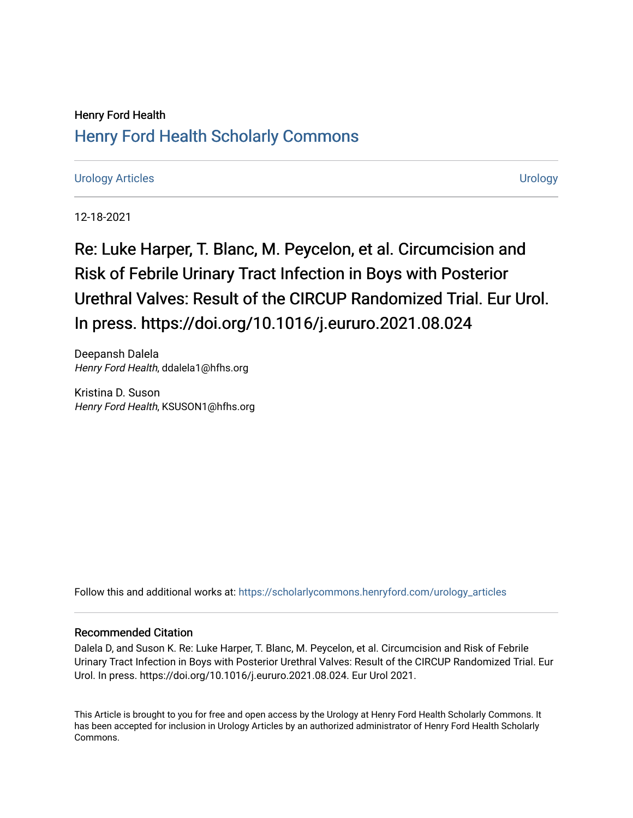# Henry Ford Health [Henry Ford Health Scholarly Commons](https://scholarlycommons.henryford.com/)

# [Urology Articles](https://scholarlycommons.henryford.com/urology_articles) [Urology](https://scholarlycommons.henryford.com/urology)

12-18-2021

Re: Luke Harper, T. Blanc, M. Peycelon, et al. Circumcision and Risk of Febrile Urinary Tract Infection in Boys with Posterior Urethral Valves: Result of the CIRCUP Randomized Trial. Eur Urol. In press. https://doi.org/10.1016/j.eururo.2021.08.024

Deepansh Dalela Henry Ford Health, ddalela1@hfhs.org

Kristina D. Suson Henry Ford Health, KSUSON1@hfhs.org

Follow this and additional works at: [https://scholarlycommons.henryford.com/urology\\_articles](https://scholarlycommons.henryford.com/urology_articles?utm_source=scholarlycommons.henryford.com%2Furology_articles%2F435&utm_medium=PDF&utm_campaign=PDFCoverPages)

## Recommended Citation

Dalela D, and Suson K. Re: Luke Harper, T. Blanc, M. Peycelon, et al. Circumcision and Risk of Febrile Urinary Tract Infection in Boys with Posterior Urethral Valves: Result of the CIRCUP Randomized Trial. Eur Urol. In press. https://doi.org/10.1016/j.eururo.2021.08.024. Eur Urol 2021.

This Article is brought to you for free and open access by the Urology at Henry Ford Health Scholarly Commons. It has been accepted for inclusion in Urology Articles by an authorized administrator of Henry Ford Health Scholarly Commons.